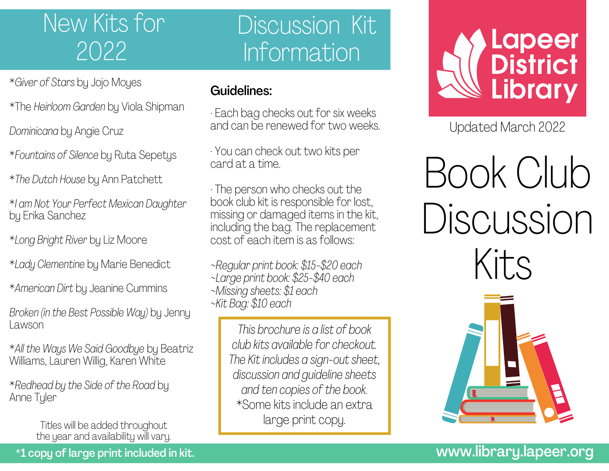# New Kits for 2022

# Discussion Kit Information

- \**Giver of Stars* by Jojo Moyes
- \*The *Heirloom Garden* by Viola Shipman
- *Dominicana* by Angie Cruz
- \**Fountains of Silence* by Ruta Sepetys
- \**The Dutch House* by Ann Patchett
- \**I am Not Your Perfect Mexican Daughter* by Erika Sanchez
- \**Long Bright River* by Liz Moore
- \**Lady Clementine* by Marie Benedict
- \**American Dirt* by Jeanine Cummins
- *Broken (in the Best Possible Way)* by Jenny Lawson
- \**All the Ways We Said Goodbye* by Beatriz Williams, Lauren Willig, Karen White
- \**Redhead by the Side of the Road* by Anne Tyler
	- Titles will be added throughout the year and availability will vary.

#### Guidelines:

- · Each bag checks out for six weeks and can be renewed for two weeks.
- · You can check out two kits per card at a time.
- · The person who checks out the book club kit is responsible for lost, missing or damaged items in the kit, including the bag. The replacement cost of each item is as follows:
- *~Regular print book: \$15-\$20 each ~Large print book: \$25-\$40 each ~Missing sheets: \$1 each ~Kit Bag: \$10 each*
	- *This brochure is a list of book club kits available for checkout. The Kit includes a sign-out sheet, discussion and guideline sheets and ten copies of the book.* \*Some kits include an extra large print copy.



Updated March 2022

Book Club Discussion Kits



## www.library.lapeer.org